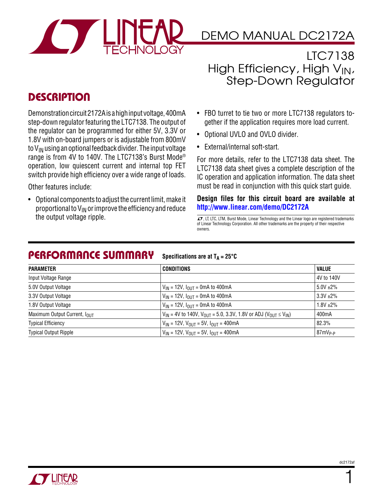

# DEMO MANUAL DC2172A

LTC7138 High Efficiency, High  $V_{IN}$ , Step-Down Regulator

## **DESCRIPTION**

Demonstration circuit 2172A is a high input voltage, 400mA step-down regulator featuring the LTC7138. The output of the regulator can be programmed for either 5V, 3.3V or 1.8V with on-board jumpers or is adjustable from 800mV to  $V_{IN}$  using an optional feedback divider. The input voltage range is from 4V to 140V. The LTC7138's Burst Mode® operation, low quiescent current and internal top FET switch provide high efficiency over a wide range of loads.

Other features include:

• Optional components to adjust the current limit, make it proportional to  $V_{IN}$  or improve the efficiency and reduce<br>the output voltage ripple.

- FBO turret to tie two or more LTC7138 regulators together if the application requires more load current.
- Optional UVLO and OVLO divider.
- External/internal soft-start.

For more details, refer to the LTC7138 data sheet. The LTC7138 data sheet gives a complete description of the IC operation and application information. The data sheet must be read in conjunction with this quick start guide.

**Design files for this circuit board are available at http://www.linear.com/demo/DC2172A**

 $\sqrt{7}$ , LT, LTC, LTM, Burst Mode, Linear Technology and the Linear logo are registered trademarks of Linear Technology Corporation. All other trademarks are the property of their respective owners.

#### Performance Summary **Specifications** are at  $T_A = 25^\circ C$

| <b>PARAMETER</b>                         | CONDITIONS                                                                           | <b>VALUE</b>        |
|------------------------------------------|--------------------------------------------------------------------------------------|---------------------|
| Input Voltage Range                      |                                                                                      | 4V to 140V          |
| 5.0V Output Voltage                      | $V_{IN}$ = 12V, $I_{OUT}$ = 0mA to 400mA                                             | $5.0V + 2\%$        |
| 3.3V Output Voltage                      | $V_{IN}$ = 12V, $I_{OUIT}$ = 0mA to 400mA                                            | $3.3V + 2\%$        |
| 1.8V Output Voltage                      | $V_{IN}$ = 12V, $I_{OUIT}$ = 0mA to 400mA                                            | $1.8V + 2\%$        |
| Maximum Output Current, I <sub>OUT</sub> | $V_{IN}$ = 4V to 140V, $V_{OIII}$ = 5.0, 3.3V, 1.8V or ADJ ( $V_{OIII} \le V_{IN}$ ) | 400 <sub>m</sub> A  |
| <b>Typical Efficiency</b>                | $V_{IN}$ = 12V, $V_{OUT}$ = 5V, $I_{OUT}$ = 400mA                                    | 82.3%               |
| <b>Typical Output Ripple</b>             | $V_{IN}$ = 12V, $V_{OUIT}$ = 5V, $I_{OUIT}$ = 400mA                                  | 87mV <sub>p-P</sub> |



1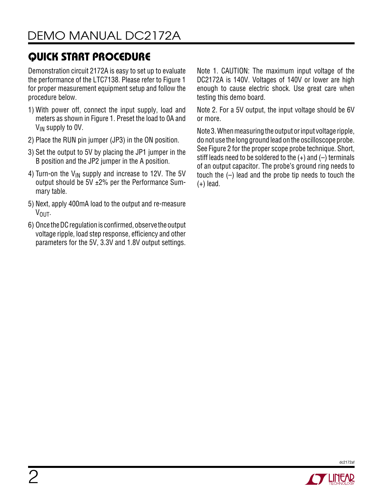Demonstration circuit 2172A is easy to set up to evaluate the performance of the LTC7138. Please refer to Figure 1 for proper measurement equipment setup and follow the procedure below.

- 1) With power off, connect the input supply, load and meters as shown in Figure 1. Preset the load to 0A and V<sub>IN</sub> supply to OV.
- 2) Place the RUN pin jumper (JP3) in the ON position.
- 3) Set the output to 5V by placing the JP1 jumper in the B position and the JP2 jumper in the A position.
- 4) Turn-on the  $V_{IN}$  supply and increase to 12V. The 5V output should be 5V ±2% per the Performance Summary table.
- 5) Next, apply 400mA load to the output and re-measure V<sub>OUT</sub>.
- 6) Once the DC regulation is confirmed, observe the output voltage ripple, load step response, efficiency and other parameters for the 5V, 3.3V and 1.8V output settings.

Note 1. CAUTION: The maximum input voltage of the DC2172A is 140V. Voltages of 140V or lower are high enough to cause electric shock. Use great care when testing this demo board.

Note 2. For a 5V output, the input voltage should be 6V or more.

Note 3. When measuring the output or input voltage ripple, do not use the long ground lead on the oscilloscope probe. See Figure 2 for the proper scope probe technique. Short, stiff leads need to be soldered to the  $(+)$  and  $(-)$  terminals of an output capacitor. The probe's ground ring needs to touch the (–) lead and the probe tip needs to touch the (+) lead.



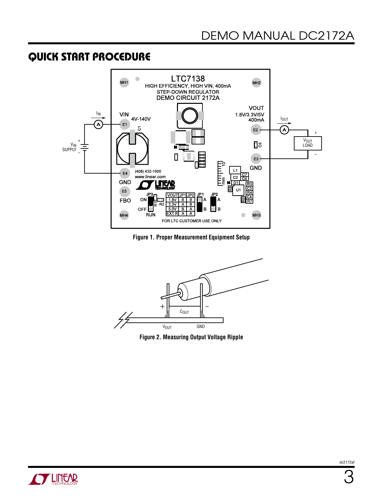

**Figure 1. Proper Measurement Equipment Setup**



**Figure 2. Measuring Output Voltage Ripple**

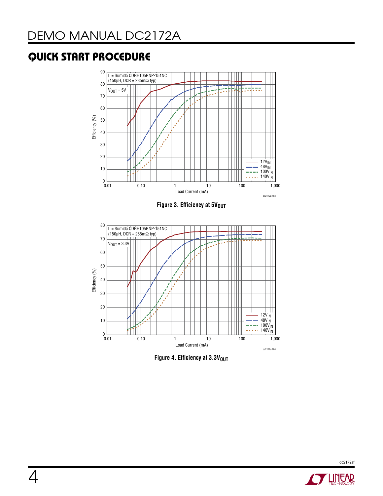

**Figure 4. Efficiency at 3.3VOUT** 

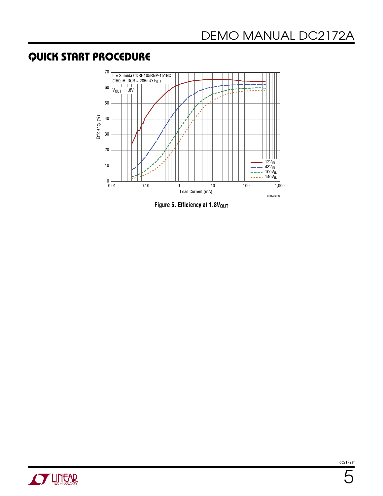

**Figure 5. Efficiency at 1.8V<sub>OUT</sub>** 

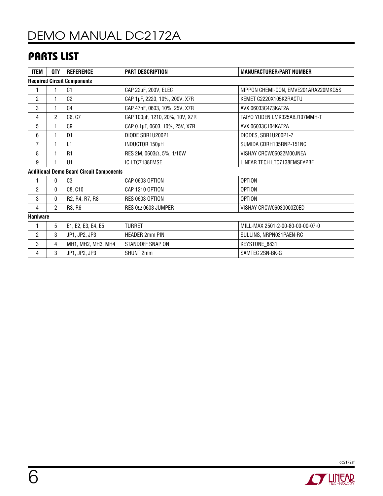# DEMO MANUAL DC2172A

## Parts List

| <b>ITEM</b>                                     | QTY            | <b>REFERENCE</b>   | <b>PART DESCRIPTION</b>        | <b>MANUFACTURER/PART NUMBER</b>      |  |
|-------------------------------------------------|----------------|--------------------|--------------------------------|--------------------------------------|--|
| <b>Required Circuit Components</b>              |                |                    |                                |                                      |  |
|                                                 |                | C <sub>1</sub>     | CAP 22µF, 200V, ELEC           | NIPPON CHEMI-CON, EMVE201ARA220MKG5S |  |
| $\overline{2}$                                  |                | C <sub>2</sub>     | CAP 1µF, 2220, 10%, 200V, X7R  | KEMET C2220X105K2RACTU               |  |
| 3                                               |                | C <sub>4</sub>     | CAP 47nF, 0603, 10%, 25V, X7R  | AVX 06033C473KAT2A                   |  |
| 4                                               | $\overline{2}$ | C6, C7             | CAP 100µF, 1210, 20%, 10V, X7R | TAIYO YUDEN LMK325ABJ107MMH-T        |  |
| $\sqrt{5}$                                      |                | C9                 | CAP 0.1µF, 0603, 10%, 25V, X7R | AVX 06033C104KAT2A                   |  |
| 6                                               | 1              | D <sub>1</sub>     | DIODE SBR1U200P1               | DIODES, SBR1U200P1-7                 |  |
| 7                                               |                | L1                 | INDUCTOR 150µH                 | SUMIDA CDRH105RNP-151NC              |  |
| 8                                               | 1              | R1                 | RES 2M, 0603Ω, 5%, 1/10W       | VISHAY CRCW06032M00JNEA              |  |
| 9                                               |                | U1                 | IC LTC7138EMSE                 | LINEAR TECH LTC7138EMSE#PBF          |  |
| <b>Additional Demo Board Circuit Components</b> |                |                    |                                |                                      |  |
|                                                 | 0              | C <sub>3</sub>     | CAP 0603 OPTION                | <b>OPTION</b>                        |  |
| $\overline{2}$                                  | 0              | C8, C10            | CAP 1210 OPTION                | <b>OPTION</b>                        |  |
| 3                                               | 0              | R2, R4, R7, R8     | RES 0603 OPTION                | <b>OPTION</b>                        |  |
| 4                                               | $\overline{2}$ | R3, R6             | RES 0 $\Omega$ 0603 JUMPER     | VISHAY CRCW06030000Z0ED              |  |
| <b>Hardware</b>                                 |                |                    |                                |                                      |  |
| 1                                               | 5              | E1, E2, E3, E4, E5 | <b>TURRET</b>                  | MILL-MAX 2501-2-00-80-00-00-07-0     |  |
| 2                                               | 3              | JP1, JP2, JP3      | <b>HEADER 2mm PIN</b>          | SULLINS, NRPN031PAEN-RC              |  |
| 3                                               | 4              | MH1, MH2, MH3, MH4 | STANDOFF SNAP ON               | KEYSTONE_8831                        |  |
| 4                                               | 3              | JP1, JP2, JP3      | <b>SHUNT 2mm</b>               | SAMTEC 2SN-BK-G                      |  |



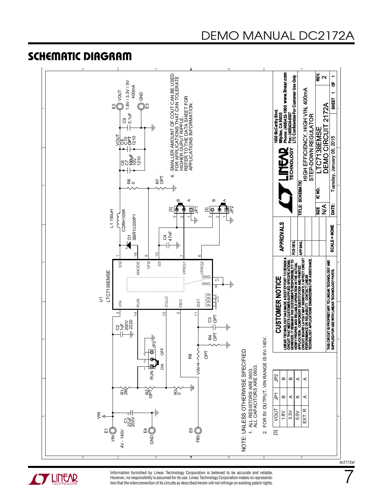#### Schematic Diagram





Information furnished by Linear Technology Corporation is believed to be accurate and reliable. However, no responsibility is assumed for its use. Linear Technology Corporation makes no representation that the interconnection of its circuits as described herein will not infringe on existing patent rights. dc2172af

7